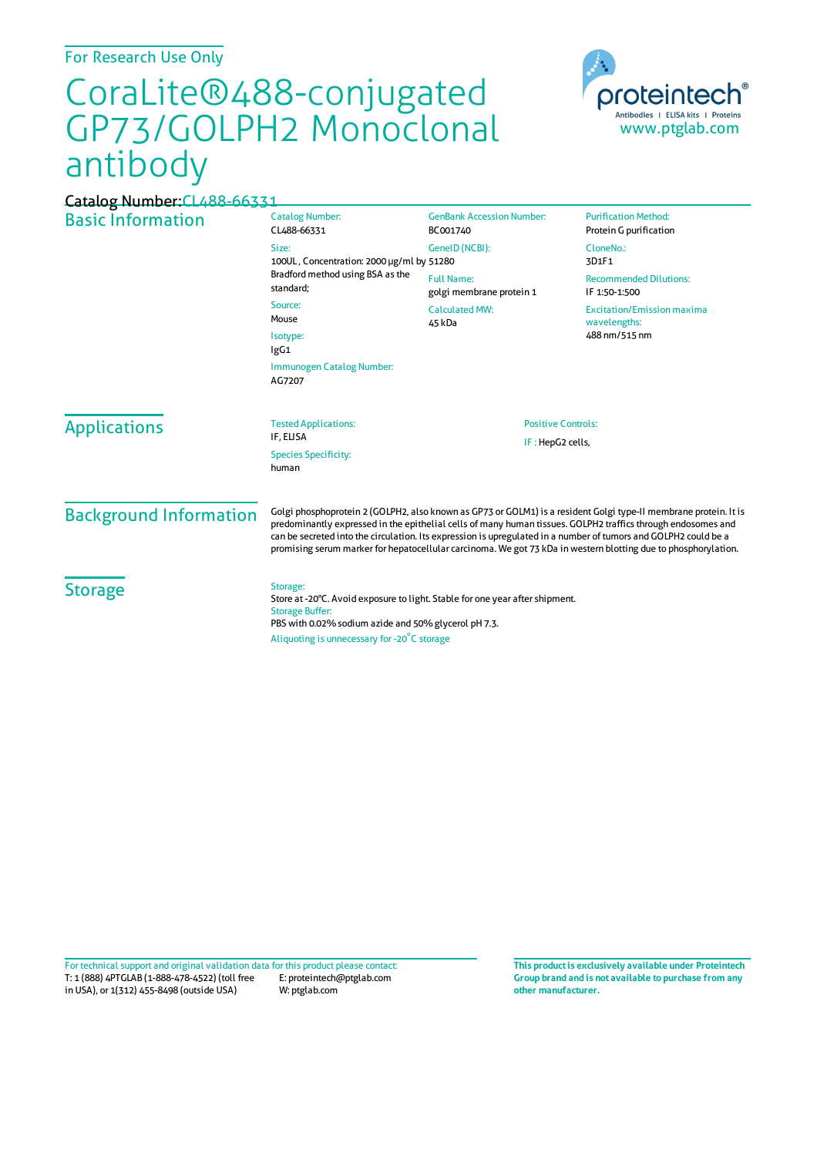For Research Use Only

## CoraLite®488-conjugated GP73/GOLPH2 Monoclonal antibody



| Catalog Number: CL488-66331          |                                                                                                                                                                                                                                                                                                                                                                                                                                                                       |                                               |                                                                    |
|--------------------------------------|-----------------------------------------------------------------------------------------------------------------------------------------------------------------------------------------------------------------------------------------------------------------------------------------------------------------------------------------------------------------------------------------------------------------------------------------------------------------------|-----------------------------------------------|--------------------------------------------------------------------|
| <b>Basic Information</b>             | <b>Catalog Number:</b><br>CL488-66331                                                                                                                                                                                                                                                                                                                                                                                                                                 | <b>GenBank Accession Number:</b><br>BC001740  | <b>Purification Method:</b><br>Protein G purification              |
|                                      | Size:<br>100UL, Concentration: 2000 µg/ml by 51280                                                                                                                                                                                                                                                                                                                                                                                                                    | GeneID (NCBI):                                | CloneNo.:<br>3D1F1                                                 |
|                                      | Bradford method using BSA as the<br>standard;                                                                                                                                                                                                                                                                                                                                                                                                                         | <b>Full Name:</b><br>golgi membrane protein 1 | <b>Recommended Dilutions:</b><br>IF 1:50-1:500                     |
|                                      | Source:<br>Mouse<br>Isotype:<br>IgG1                                                                                                                                                                                                                                                                                                                                                                                                                                  | <b>Calculated MW:</b><br>45 kDa               | <b>Excitation/Emission maxima</b><br>wavelengths:<br>488 nm/515 nm |
|                                      |                                                                                                                                                                                                                                                                                                                                                                                                                                                                       |                                               |                                                                    |
|                                      | <b>Applications</b>                                                                                                                                                                                                                                                                                                                                                                                                                                                   |                                               |                                                                    |
| <b>Species Specificity:</b><br>human |                                                                                                                                                                                                                                                                                                                                                                                                                                                                       |                                               |                                                                    |
| <b>Background Information</b>        | Golgi phosphoprotein 2 (GOLPH2, also known as GP73 or GOLM1) is a resident Golgi type-II membrane protein. It is<br>predominantly expressed in the epithelial cells of many human tissues. GOLPH2 traffics through endosomes and<br>can be secreted into the circulation. Its expression is upregulated in a number of tumors and GOLPH2 could be a<br>promising serum marker for hepatocellular carcinoma. We got 73 kDa in western blotting due to phosphorylation. |                                               |                                                                    |
| <b>Storage</b>                       | Storage:<br>Store at -20°C. Avoid exposure to light. Stable for one year after shipment.<br><b>Storage Buffer:</b><br>PBS with 0.02% sodium azide and 50% glycerol pH 7.3.<br>Aliquoting is unnecessary for -20°C storage                                                                                                                                                                                                                                             |                                               |                                                                    |

T: 1 (888) 4PTGLAB (1-888-478-4522) (toll free in USA), or 1(312) 455-8498 (outside USA) E: proteintech@ptglab.com W: ptglab.com Fortechnical support and original validation data forthis product please contact: **This productis exclusively available under Proteintech**

**Group brand and is not available to purchase from any other manufacturer.**